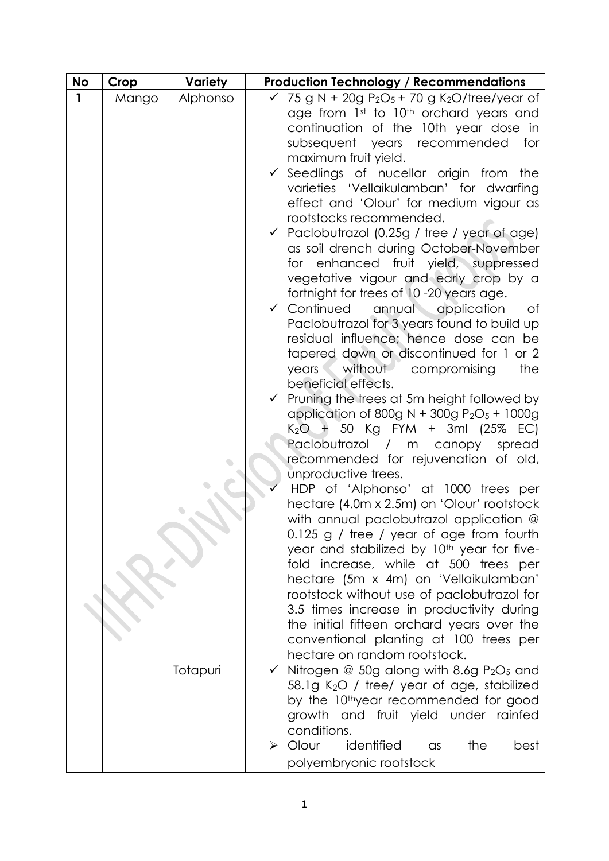| <b>No</b> | Crop  | <b>Variety</b> | <b>Production Technology / Recommendations</b>                                              |
|-----------|-------|----------------|---------------------------------------------------------------------------------------------|
| 1         | Mango | Alphonso       | 75 g N + 20g $P_2O_5$ + 70 g K <sub>2</sub> O/tree/year of                                  |
|           |       |                | age from 1st to 10th orchard years and                                                      |
|           |       |                | continuation of the 10th year dose in                                                       |
|           |       |                | subsequent years recommended<br>for                                                         |
|           |       |                | maximum fruit yield.                                                                        |
|           |       |                | Seedlings of nucellar origin from<br>the                                                    |
|           |       |                | varieties 'Vellaikulamban' for dwarfing<br>effect and 'Olour' for medium vigour as          |
|           |       |                | rootstocks recommended.                                                                     |
|           |       |                | √ Paclobutrazol (0.25g / tree / year of age)                                                |
|           |       |                | as soil drench during October-November                                                      |
|           |       |                | for enhanced fruit yield, suppressed                                                        |
|           |       |                | vegetative vigour and early crop by a                                                       |
|           |       |                | fortnight for trees of 10-20 years age.                                                     |
|           |       |                | ✔ Continued<br>annual application<br>Οf                                                     |
|           |       |                | Paclobutrazol for 3 years found to build up                                                 |
|           |       |                | residual influence; hence dose can be                                                       |
|           |       |                | tapered down or discontinued for 1 or 2                                                     |
|           |       |                | the<br>years<br>without compromising                                                        |
|           |       |                | beneficial effects.                                                                         |
|           |       |                | Pruning the trees at 5m height followed by<br>application of 800g N + 300g $P_2O_5$ + 1000g |
|           |       |                | K <sub>2</sub> O + 50 Kg FYM + 3ml (25% EC)                                                 |
|           |       |                | Paclobutrazol / m canopy spread                                                             |
|           |       |                | recommended for rejuvenation of old,                                                        |
|           |       |                | unproductive trees.                                                                         |
|           |       |                | HDP of 'Alphonso' at 1000 trees per                                                         |
|           |       |                | hectare (4.0m x 2.5m) on 'Olour' rootstock                                                  |
|           |       |                | with annual paclobutrazol application @                                                     |
|           |       |                | 0.125 g / tree / year of age from fourth                                                    |
|           |       |                | year and stabilized by 10 <sup>th</sup> year for five-                                      |
|           |       |                | fold increase, while at 500 trees per                                                       |
|           |       |                | hectare (5m x 4m) on 'Vellaikulamban'<br>rootstock without use of paclobutrazol for         |
|           |       |                | 3.5 times increase in productivity during                                                   |
|           |       |                | the initial fifteen orchard years over the                                                  |
|           |       |                | conventional planting at 100 trees per                                                      |
|           |       |                | hectare on random rootstock.                                                                |
|           |       | Totapuri       | Nitrogen $@$ 50g along with 8.6g $P_2O_5$ and                                               |
|           |       |                | 58.1g K <sub>2</sub> O / tree/ year of age, stabilized                                      |
|           |       |                | by the 10 <sup>th</sup> year recommended for good                                           |
|           |       |                | growth and fruit yield under rainfed                                                        |
|           |       |                | conditions.                                                                                 |
|           |       |                | identified<br>$\triangleright$ Olour<br>the<br>best<br>$\alpha$ s                           |
|           |       |                | polyembryonic rootstock                                                                     |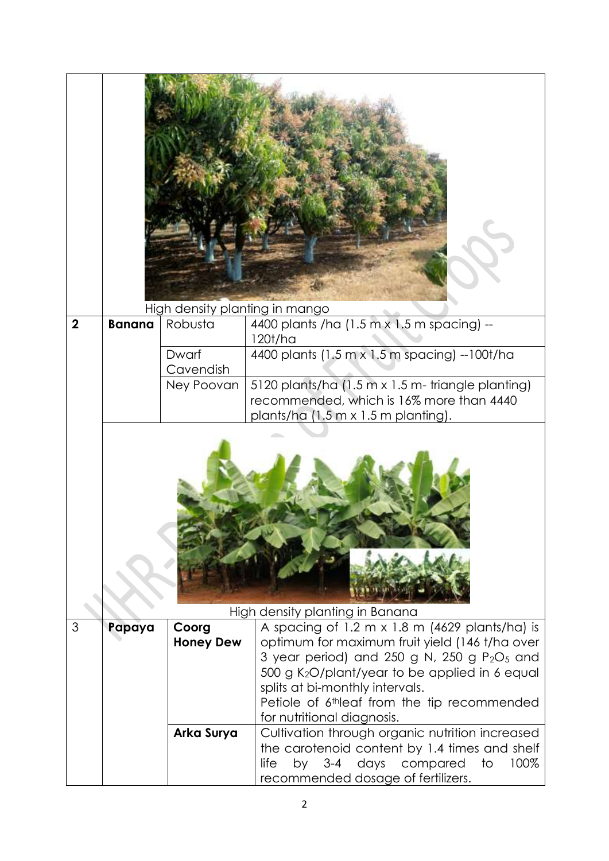|                |               | High density planting in mango |                                                                                                                                                                                                                                                                                                                                         |
|----------------|---------------|--------------------------------|-----------------------------------------------------------------------------------------------------------------------------------------------------------------------------------------------------------------------------------------------------------------------------------------------------------------------------------------|
| $\overline{2}$ | <b>Banana</b> | Robusta                        | 4400 plants /ha (1.5 m x 1.5 m spacing) --                                                                                                                                                                                                                                                                                              |
|                |               | Dwarf<br>Cavendish             | 120t/ha<br>4400 plants (1.5 m x 1.5 m spacing) --100t/ha                                                                                                                                                                                                                                                                                |
|                |               | Ney Poovan                     | 5120 plants/ha (1.5 m x 1.5 m- triangle planting)<br>recommended, which is 16% more than 4440<br>plants/ha (1.5 m x 1.5 m planting).                                                                                                                                                                                                    |
|                |               |                                | High density planting in Banana                                                                                                                                                                                                                                                                                                         |
| 3              | Papaya        | Coorg<br><b>Honey Dew</b>      | A spacing of 1.2 m $\times$ 1.8 m (4629 plants/ha) is<br>optimum for maximum fruit yield (146 t/ha over<br>3 year period) and 250 g N, 250 g $P_2O_5$ and<br>500 g K <sub>2</sub> O/plant/year to be applied in 6 equal<br>splits at bi-monthly intervals.<br>Petiole of 6thleaf from the tip recommended<br>for nutritional diagnosis. |
|                |               | Arka Surya                     | Cultivation through organic nutrition increased<br>the carotenoid content by 1.4 times and shelf<br>by 3-4 days compared<br>life<br>to<br>100%<br>recommended dosage of fertilizers.                                                                                                                                                    |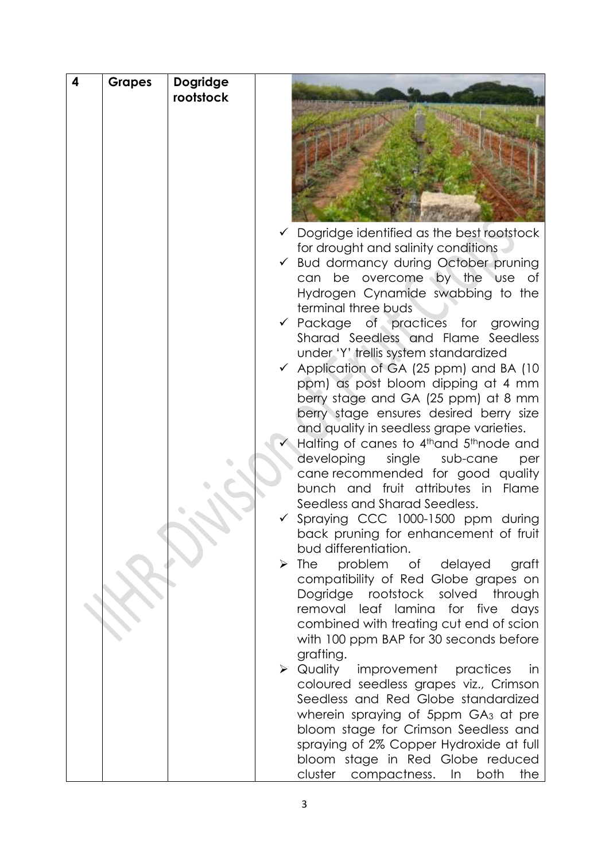| 4 | <b>Grapes</b> | Dogridge  |   |                                                                                 |
|---|---------------|-----------|---|---------------------------------------------------------------------------------|
|   |               | rootstock |   |                                                                                 |
|   |               |           |   |                                                                                 |
|   |               |           |   |                                                                                 |
|   |               |           |   |                                                                                 |
|   |               |           |   |                                                                                 |
|   |               |           |   |                                                                                 |
|   |               |           |   |                                                                                 |
|   |               |           |   |                                                                                 |
|   |               |           |   |                                                                                 |
|   |               |           |   | $\checkmark$ Dogridge identified as the best rootstock                          |
|   |               |           |   | for drought and salinity conditions                                             |
|   |               |           |   | Bud dormancy during October pruning                                             |
|   |               |           |   | be overcome by the use<br>can<br>of                                             |
|   |               |           |   | Hydrogen Cynamide swabbing to the<br>terminal three buds                        |
|   |               |           |   | v Package of practices for growing                                              |
|   |               |           |   | Sharad Seedless and Flame Seedless                                              |
|   |               |           |   | under 'Y' trellis system standardized                                           |
|   |               |           |   | Application of GA (25 ppm) and BA (10                                           |
|   |               |           |   | ppm) as post bloom dipping at 4 mm                                              |
|   |               |           |   | berry stage and GA (25 ppm) at 8 mm                                             |
|   |               |           |   | berry stage ensures desired berry size                                          |
|   |               |           |   | and quality in seedless grape varieties.                                        |
|   |               |           |   | Halling of canes to 4th and 5th node and                                        |
|   |               |           |   | developing<br>single sub-cane<br>per                                            |
|   |               |           |   | cane recommended for good quality                                               |
|   |               |           |   | bunch and fruit attributes in Flame                                             |
|   |               |           |   | Seedless and Sharad Seedless.                                                   |
|   |               |           |   | Spraying CCC 1000-1500 ppm during<br>back pruning for enhancement of fruit      |
|   |               |           |   | bud differentiation.                                                            |
|   |               |           | ➤ | problem of delayed<br>The<br>graft                                              |
|   |               |           |   | compatibility of Red Globe grapes on                                            |
|   |               |           |   | Dogridge rootstock solved through                                               |
|   |               |           |   | removal leaf lamina for five<br>days                                            |
|   |               |           |   | combined with treating cut end of scion                                         |
|   |               |           |   | with 100 ppm BAP for 30 seconds before                                          |
|   |               |           |   | grafting.                                                                       |
|   |               |           |   | $\triangleright$ Quality<br>improvement<br>practices<br>-in                     |
|   |               |           |   | coloured seedless grapes viz., Crimson                                          |
|   |               |           |   | Seedless and Red Globe standardized                                             |
|   |               |           |   | wherein spraying of 5ppm GA <sub>3</sub> at pre                                 |
|   |               |           |   | bloom stage for Crimson Seedless and<br>spraying of 2% Copper Hydroxide at full |
|   |               |           |   | bloom stage in Red Globe reduced                                                |
|   |               |           |   | cluster compactness. In both<br>the                                             |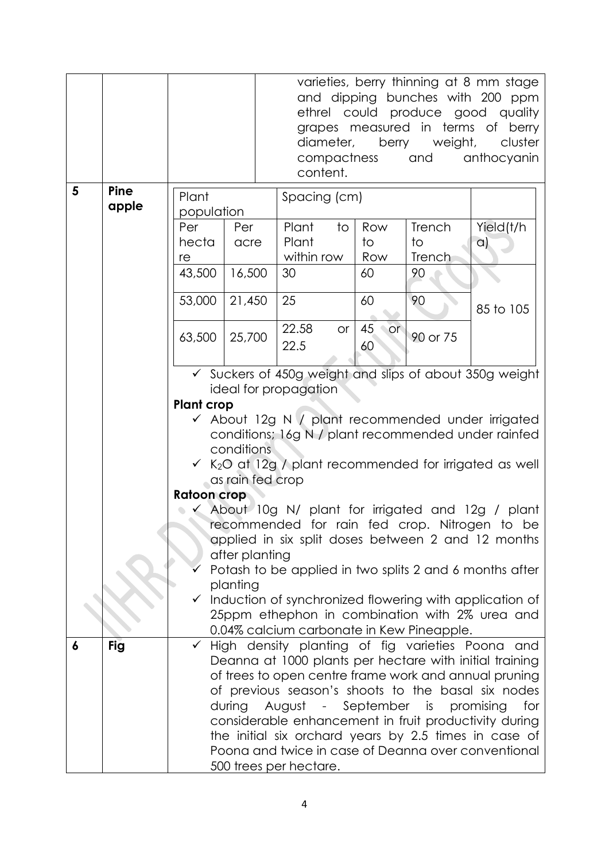|   |               |                                                                                                                                                                                                                                                                                                                                                                                                                                                                                                      | varieties, berry thinning at 8 mm stage<br>and dipping bunches with 200 ppm<br>ethrel could produce good quality<br>grapes measured in terms of berry<br>berry weight,<br>cluster<br>diameter,<br>compactness<br>anthocyanin<br>and<br>content. |               |           |                |                                           |                                                |
|---|---------------|------------------------------------------------------------------------------------------------------------------------------------------------------------------------------------------------------------------------------------------------------------------------------------------------------------------------------------------------------------------------------------------------------------------------------------------------------------------------------------------------------|-------------------------------------------------------------------------------------------------------------------------------------------------------------------------------------------------------------------------------------------------|---------------|-----------|----------------|-------------------------------------------|------------------------------------------------|
| 5 | Pine<br>apple | Plant                                                                                                                                                                                                                                                                                                                                                                                                                                                                                                |                                                                                                                                                                                                                                                 | Spacing (cm)  |           |                |                                           |                                                |
|   |               | population<br>Per                                                                                                                                                                                                                                                                                                                                                                                                                                                                                    | Per                                                                                                                                                                                                                                             | Plant         | to        | Row            | Trench                                    | Yield(t/h                                      |
|   |               | hecta                                                                                                                                                                                                                                                                                                                                                                                                                                                                                                | acre                                                                                                                                                                                                                                            | Plant         |           | to             | $\overline{1}$                            | $\alpha$                                       |
|   |               | re                                                                                                                                                                                                                                                                                                                                                                                                                                                                                                   |                                                                                                                                                                                                                                                 | within row    |           | Row            | Trench                                    |                                                |
|   |               | 43,500                                                                                                                                                                                                                                                                                                                                                                                                                                                                                               | 16,500                                                                                                                                                                                                                                          | 30            |           | 60             | 90                                        |                                                |
|   |               | 53,000                                                                                                                                                                                                                                                                                                                                                                                                                                                                                               | 21,450                                                                                                                                                                                                                                          | 25            |           | 60             | 90                                        | 85 to 105                                      |
|   |               | 63,500<br>25,700                                                                                                                                                                                                                                                                                                                                                                                                                                                                                     |                                                                                                                                                                                                                                                 | 22.58<br>22.5 | <b>or</b> | 45<br>or<br>60 | 90 or 75                                  |                                                |
|   |               | ✔ Suckers of 450g weight and slips of about 350g weight<br>ideal for propagation<br><b>Plant crop</b><br>✔ About 12g N / plant recommended under irrigated                                                                                                                                                                                                                                                                                                                                           |                                                                                                                                                                                                                                                 |               |           |                |                                           |                                                |
|   |               | conditions; 16g N / plant recommended under rainfed<br>conditions<br>$\checkmark$ K <sub>2</sub> O at 12g / plant recommended for irrigated as well                                                                                                                                                                                                                                                                                                                                                  |                                                                                                                                                                                                                                                 |               |           |                |                                           |                                                |
|   |               | as rain fed crop                                                                                                                                                                                                                                                                                                                                                                                                                                                                                     |                                                                                                                                                                                                                                                 |               |           |                |                                           |                                                |
|   |               | <b>Ratoon crop</b><br>$\checkmark$ About 10g N/ plant for irrigated and 12g / plant                                                                                                                                                                                                                                                                                                                                                                                                                  |                                                                                                                                                                                                                                                 |               |           |                |                                           |                                                |
|   |               | recommended for rain fed crop. Nitrogen to be                                                                                                                                                                                                                                                                                                                                                                                                                                                        |                                                                                                                                                                                                                                                 |               |           |                |                                           |                                                |
|   |               | applied in six split doses between 2 and 12 months                                                                                                                                                                                                                                                                                                                                                                                                                                                   |                                                                                                                                                                                                                                                 |               |           |                |                                           |                                                |
|   |               | after planting                                                                                                                                                                                                                                                                                                                                                                                                                                                                                       |                                                                                                                                                                                                                                                 |               |           |                |                                           |                                                |
|   |               | Potash to be applied in two splits 2 and 6 months after<br>planting                                                                                                                                                                                                                                                                                                                                                                                                                                  |                                                                                                                                                                                                                                                 |               |           |                |                                           |                                                |
|   |               | Induction of synchronized flowering with application of<br>$\checkmark$                                                                                                                                                                                                                                                                                                                                                                                                                              |                                                                                                                                                                                                                                                 |               |           |                |                                           |                                                |
|   |               |                                                                                                                                                                                                                                                                                                                                                                                                                                                                                                      |                                                                                                                                                                                                                                                 |               |           |                | 0.04% calcium carbonate in Kew Pineapple. | 25ppm ethephon in combination with 2% urea and |
| 6 | <b>Fig</b>    | High density planting of fig varieties Poona and<br>$\checkmark$<br>Deanna at 1000 plants per hectare with initial training<br>of trees to open centre frame work and annual pruning<br>of previous season's shoots to the basal six nodes<br>during<br>August - September is<br>promising<br>for<br>considerable enhancement in fruit productivity during<br>the initial six orchard years by 2.5 times in case of<br>Poona and twice in case of Deanna over conventional<br>500 trees per hectare. |                                                                                                                                                                                                                                                 |               |           |                |                                           |                                                |